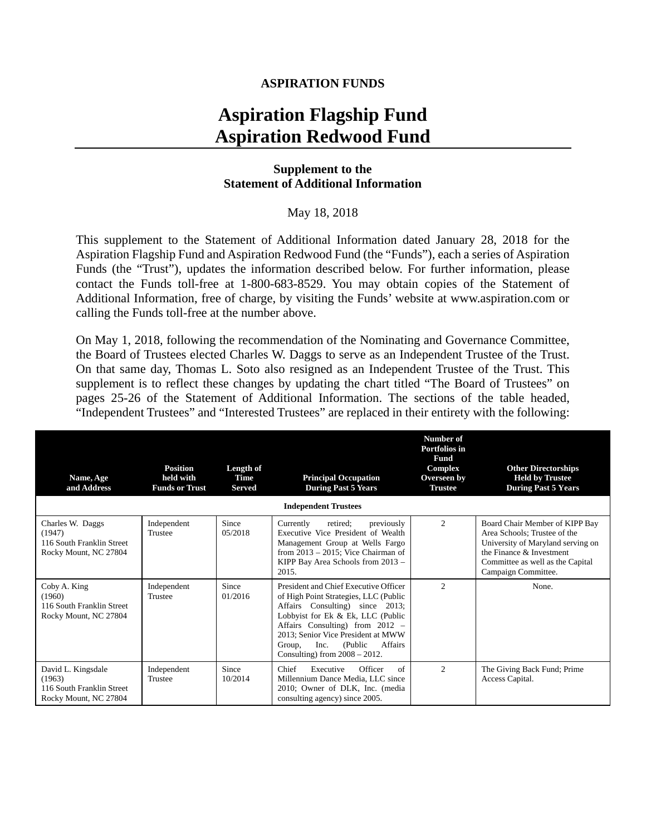### **ASPIRATION FUNDS**

# **Aspiration Flagship Fund Aspiration Redwood Fund**

### **Supplement to the Statement of Additional Information**

#### May 18, 2018

This supplement to the Statement of Additional Information dated January 28, 2018 for the Aspiration Flagship Fund and Aspiration Redwood Fund (the "Funds"), each a series of Aspiration Funds (the "Trust"), updates the information described below. For further information, please contact the Funds toll-free at 1-800-683-8529. You may obtain copies of the Statement of Additional Information, free of charge, by visiting the Funds' website at www.aspiration.com or calling the Funds toll-free at the number above.

On May 1, 2018, following the recommendation of the Nominating and Governance Committee, the Board of Trustees elected Charles W. Daggs to serve as an Independent Trustee of the Trust. On that same day, Thomas L. Soto also resigned as an Independent Trustee of the Trust. This supplement is to reflect these changes by updating the chart titled "The Board of Trustees" on pages 25-26 of the Statement of Additional Information. The sections of the table headed, "Independent Trustees" and "Interested Trustees" are replaced in their entirety with the following:

| Name, Age<br>and Address                                                           | <b>Position</b><br>held with<br><b>Funds or Trust</b> | Length of<br>Time<br><b>Served</b> | <b>Principal Occupation</b><br><b>During Past 5 Years</b>                                                                                                                                                                                                                                                      | Number of<br>Portfolios in<br>Fund<br>Complex<br>Overseen by<br><b>Trustee</b> | <b>Other Directorships</b><br><b>Held by Trustee</b><br><b>During Past 5 Years</b>                                                                                                            |  |  |  |
|------------------------------------------------------------------------------------|-------------------------------------------------------|------------------------------------|----------------------------------------------------------------------------------------------------------------------------------------------------------------------------------------------------------------------------------------------------------------------------------------------------------------|--------------------------------------------------------------------------------|-----------------------------------------------------------------------------------------------------------------------------------------------------------------------------------------------|--|--|--|
| <b>Independent Trustees</b>                                                        |                                                       |                                    |                                                                                                                                                                                                                                                                                                                |                                                                                |                                                                                                                                                                                               |  |  |  |
| Charles W. Daggs<br>(1947)<br>116 South Franklin Street<br>Rocky Mount, NC 27804   | Independent<br>Trustee                                | Since<br>05/2018                   | Currently<br>previously<br>retired:<br>Executive Vice President of Wealth<br>Management Group at Wells Fargo<br>from $2013 - 2015$ ; Vice Chairman of<br>KIPP Bay Area Schools from 2013 -<br>2015.                                                                                                            | $\mathfrak{D}$                                                                 | Board Chair Member of KIPP Bay<br>Area Schools: Trustee of the<br>University of Maryland serving on<br>the Finance $\&$ Investment<br>Committee as well as the Capital<br>Campaign Committee. |  |  |  |
| Coby A. King<br>(1960)<br>116 South Franklin Street<br>Rocky Mount, NC 27804       | Independent<br>Trustee                                | Since<br>01/2016                   | President and Chief Executive Officer<br>of High Point Strategies, LLC (Public<br>Affairs Consulting) since 2013;<br>Lobbyist for Ek & Ek, LLC (Public<br>Affairs Consulting) from $2012 -$<br>2013; Senior Vice President at MWW<br>Affairs<br>Inc.<br>(Public)<br>Group,<br>Consulting) from $2008 - 2012$ . | $\mathfrak{D}$                                                                 | None.                                                                                                                                                                                         |  |  |  |
| David L. Kingsdale<br>(1963)<br>116 South Franklin Street<br>Rocky Mount, NC 27804 | Independent<br>Trustee                                | Since<br>10/2014                   | Chief<br>Executive<br>Officer<br>of<br>Millennium Dance Media, LLC since<br>2010; Owner of DLK, Inc. (media<br>consulting agency) since 2005.                                                                                                                                                                  | $\overline{c}$                                                                 | The Giving Back Fund; Prime<br>Access Capital.                                                                                                                                                |  |  |  |